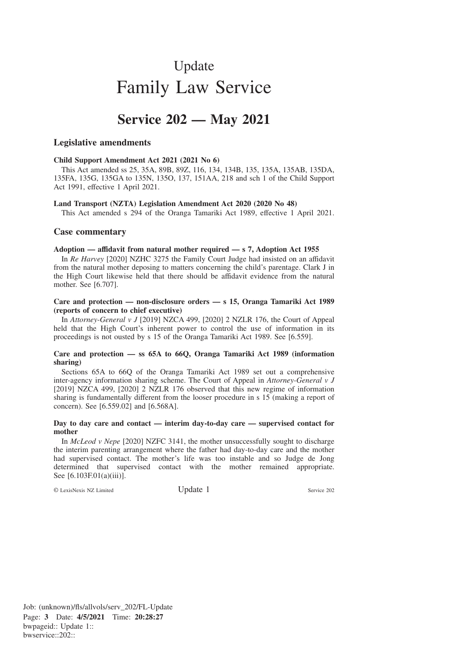# Update Family Law Service

# **Service 202 — May 2021**

# **Legislative amendments**

# **Child Support Amendment Act 2021 (2021 No 6)**

This Act amended ss 25, 35A, 89B, 89Z, 116, 134, 134B, 135, 135A, 135AB, 135DA, 135FA, 135G, 135GA to 135N, 135O, 137, 151AA, 218 and sch 1 of the Child Support Act 1991, effective 1 April 2021.

#### **Land Transport (NZTA) Legislation Amendment Act 2020 (2020 No 48)**

This Act amended s 294 of the Oranga Tamariki Act 1989, effective 1 April 2021.

# **Case commentary**

# **Adoption — affidavit from natural mother required — s 7, Adoption Act 1955**

In *Re Harvey* [2020] NZHC 3275 the Family Court Judge had insisted on an affidavit from the natural mother deposing to matters concerning the child's parentage. Clark J in the High Court likewise held that there should be affidavit evidence from the natural mother. See [6.707].

# **Care and protection — non-disclosure orders — s 15, Oranga Tamariki Act 1989 (reports of concern to chief executive)**

In *Attorney-General v J* [2019] NZCA 499, [2020] 2 NZLR 176, the Court of Appeal held that the High Court's inherent power to control the use of information in its proceedings is not ousted by s 15 of the Oranga Tamariki Act 1989. See [6.559].

# **Care and protection — ss 65A to 66Q, Oranga Tamariki Act 1989 (information sharing)**

Sections 65A to 66Q of the Oranga Tamariki Act 1989 set out a comprehensive inter-agency information sharing scheme. The Court of Appeal in *Attorney-General v J* [2019] NZCA 499, [2020] 2 NZLR 176 observed that this new regime of information sharing is fundamentally different from the looser procedure in s 15 (making a report of concern). See [6.559.02] and [6.568A].

#### **Day to day care and contact — interim day-to-day care — supervised contact for mother**

In *McLeod v Nepe* [2020] NZFC 3141, the mother unsuccessfully sought to discharge the interim parenting arrangement where the father had day-to-day care and the mother had supervised contact. The mother's life was too instable and so Judge de Jong determined that supervised contact with the mother remained appropriate. See [6.103F.01(a)(iii)].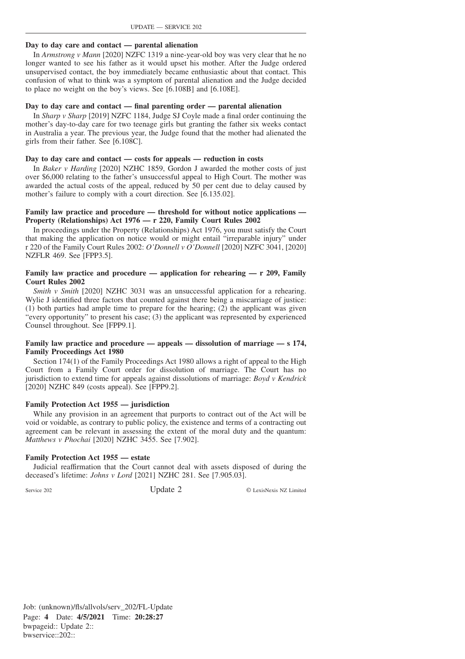# **Day to day care and contact — parental alienation**

In *Armstrong v Mann* [2020] NZFC 1319 a nine-year-old boy was very clear that he no longer wanted to see his father as it would upset his mother. After the Judge ordered unsupervised contact, the boy immediately became enthusiastic about that contact. This confusion of what to think was a symptom of parental alienation and the Judge decided to place no weight on the boy's views. See [6.108B] and [6.108E].

# **Day to day care and contact — final parenting order — parental alienation**

In *Sharp v Sharp* [2019] NZFC 1184, Judge SJ Coyle made a final order continuing the mother's day-to-day care for two teenage girls but granting the father six weeks contact in Australia a year. The previous year, the Judge found that the mother had alienated the girls from their father. See [6.108C].

# **Day to day care and contact — costs for appeals — reduction in costs**

In *Baker v Harding* [2020] NZHC 1859, Gordon J awarded the mother costs of just over \$6,000 relating to the father's unsuccessful appeal to High Court. The mother was awarded the actual costs of the appeal, reduced by 50 per cent due to delay caused by mother's failure to comply with a court direction. See [6.135.02].

# **Family law practice and procedure — threshold for without notice applications — Property (Relationships) Act 1976 — r 220, Family Court Rules 2002**

In proceedings under the Property (Relationships) Act 1976, you must satisfy the Court that making the application on notice would or might entail "irreparable injury" under r 220 of the Family Court Rules 2002: *O'Donnell v O'Donnell* [2020] NZFC 3041, [2020] NZFLR 469. See [FPP3.5].

# **Family law practice and procedure — application for rehearing — r 209, Family Court Rules 2002**

*Smith v Smith* [2020] NZHC 3031 was an unsuccessful application for a rehearing. Wylie J identified three factors that counted against there being a miscarriage of justice:  $(1)$  both parties had ample time to prepare for the hearing;  $(2)$  the applicant was given "every opportunity" to present his case; (3) the applicant was represented by experienced Counsel throughout. See [FPP9.1].

# **Family law practice and procedure — appeals — dissolution of marriage — s 174, Family Proceedings Act 1980**

Section 174(1) of the Family Proceedings Act 1980 allows a right of appeal to the High Court from a Family Court order for dissolution of marriage. The Court has no jurisdiction to extend time for appeals against dissolutions of marriage: *Boyd v Kendrick* [2020] NZHC 849 (costs appeal). See [FPP9.2].

# **Family Protection Act 1955 — jurisdiction**

While any provision in an agreement that purports to contract out of the Act will be void or voidable, as contrary to public policy, the existence and terms of a contracting out agreement can be relevant in assessing the extent of the moral duty and the quantum: *Matthews v Phochai* [2020] NZHC 3455. See [7.902].

# **Family Protection Act 1955 — estate**

Judicial reaffirmation that the Court cannot deal with assets disposed of during the deceased's lifetime: *Johns v Lord* [2021] NZHC 281. See [7.905.03].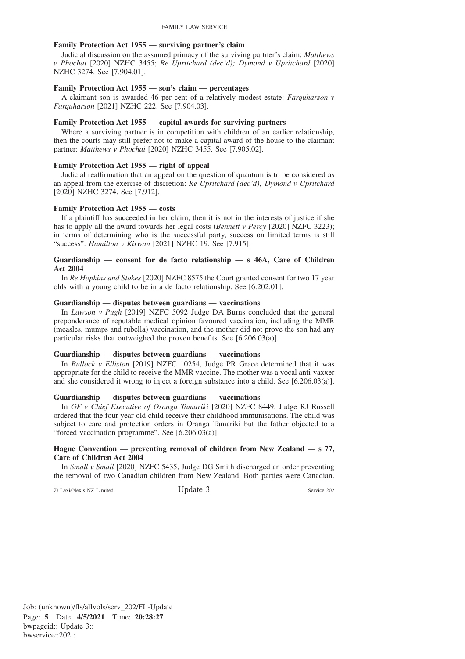#### **Family Protection Act 1955 — surviving partner's claim**

Judicial discussion on the assumed primacy of the surviving partner's claim: *Matthews v Phochai* [2020] NZHC 3455; *Re Upritchard (dec'd); Dymond v Upritchard* [2020] NZHC 3274. See [7.904.01].

#### **Family Protection Act 1955 — son's claim — percentages**

A claimant son is awarded 46 per cent of a relatively modest estate: *Farquharson v Farquharson* [2021] NZHC 222. See [7.904.03].

#### **Family Protection Act 1955 — capital awards for surviving partners**

Where a surviving partner is in competition with children of an earlier relationship, then the courts may still prefer not to make a capital award of the house to the claimant partner: *Matthews v Phochai* [2020] NZHC 3455. See [7.905.02].

#### **Family Protection Act 1955 — right of appeal**

Judicial reaffirmation that an appeal on the question of quantum is to be considered as an appeal from the exercise of discretion: *Re Upritchard (dec'd); Dymond v Upritchard* [2020] NZHC 3274. See [7.912].

#### **Family Protection Act 1955 — costs**

If a plaintiff has succeeded in her claim, then it is not in the interests of justice if she has to apply all the award towards her legal costs (*Bennett v Percy* [2020] NZFC 3223); in terms of determining who is the successful party, success on limited terms is still "success": *Hamilton v Kirwan* [2021] NZHC 19. See [7.915].

#### **Guardianship — consent for de facto relationship — s 46A, Care of Children Act 2004**

In *Re Hopkins and Stokes* [2020] NZFC 8575 the Court granted consent for two 17 year olds with a young child to be in a de facto relationship. See [6.202.01].

#### **Guardianship — disputes between guardians — vaccinations**

In *Lawson v Pugh* [2019] NZFC 5092 Judge DA Burns concluded that the general preponderance of reputable medical opinion favoured vaccination, including the MMR (measles, mumps and rubella) vaccination, and the mother did not prove the son had any particular risks that outweighed the proven benefits. See [6.206.03(a)].

#### **Guardianship — disputes between guardians — vaccinations**

In *Bullock v Elliston* [2019] NZFC 10254, Judge PR Grace determined that it was appropriate for the child to receive the MMR vaccine. The mother was a vocal anti-vaxxer and she considered it wrong to inject a foreign substance into a child. See [6.206.03(a)].

#### **Guardianship — disputes between guardians — vaccinations**

In *GF v Chief Executive of Oranga Tamariki* [2020] NZFC 8449, Judge RJ Russell ordered that the four year old child receive their childhood immunisations. The child was subject to care and protection orders in Oranga Tamariki but the father objected to a "forced vaccination programme". See [6.206.03(a)].

#### **Hague Convention — preventing removal of children from New Zealand — s 77, Care of Children Act 2004**

In *Small v Small* [2020] NZFC 5435, Judge DG Smith discharged an order preventing the removal of two Canadian children from New Zealand. Both parties were Canadian.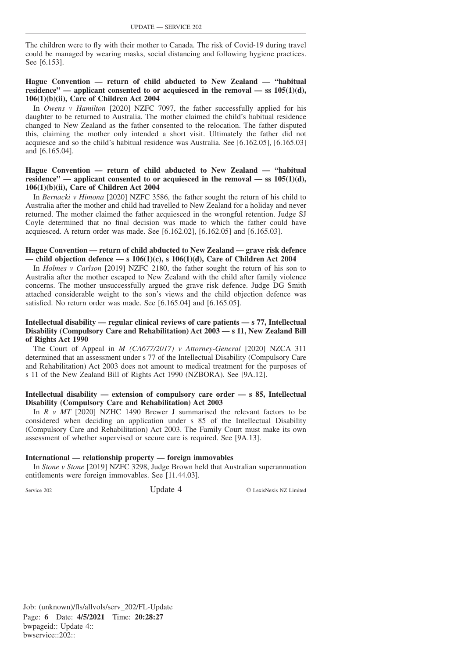The children were to fly with their mother to Canada. The risk of Covid-19 during travel could be managed by wearing masks, social distancing and following hygiene practices. See [6.153].

# **Hague Convention — return of child abducted to New Zealand — "habitual residence" — applicant consented to or acquiesced in the removal — ss 105(1)(d), 106(1)(b)(ii), Care of Children Act 2004**

In *Owens v Hamilton* [2020] NZFC 7097, the father successfully applied for his daughter to be returned to Australia. The mother claimed the child's habitual residence changed to New Zealand as the father consented to the relocation. The father disputed this, claiming the mother only intended a short visit. Ultimately the father did not acquiesce and so the child's habitual residence was Australia. See [6.162.05], [6.165.03] and [6.165.04].

# **Hague Convention — return of child abducted to New Zealand — "habitual** residence" — applicant consented to or acquiesced in the removal — ss  $105(1)(d)$ , **106(1)(b)(ii), Care of Children Act 2004**

In *Bernacki v Himona* [2020] NZFC 3586, the father sought the return of his child to Australia after the mother and child had travelled to New Zealand for a holiday and never returned. The mother claimed the father acquiesced in the wrongful retention. Judge SJ Coyle determined that no final decision was made to which the father could have acquiesced. A return order was made. See [6.162.02], [6.162.05] and [6.165.03].

#### **Hague Convention — return of child abducted to New Zealand — grave risk defence — child objection defence — s 106(1)(c), s 106(1)(d), Care of Children Act 2004**

In *Holmes v Carlson* [2019] NZFC 2180, the father sought the return of his son to Australia after the mother escaped to New Zealand with the child after family violence concerns. The mother unsuccessfully argued the grave risk defence. Judge DG Smith attached considerable weight to the son's views and the child objection defence was satisfied. No return order was made. See [6.165.04] and [6.165.05].

#### **Intellectual disability — regular clinical reviews of care patients — s 77, Intellectual Disability (Compulsory Care and Rehabilitation) Act 2003 — s 11, New Zealand Bill of Rights Act 1990**

The Court of Appeal in *M (CA677/2017) v Attorney-General* [2020] NZCA 311 determined that an assessment under s 77 of the Intellectual Disability (Compulsory Care and Rehabilitation) Act 2003 does not amount to medical treatment for the purposes of s 11 of the New Zealand Bill of Rights Act 1990 (NZBORA). See [9A.12].

#### **Intellectual disability — extension of compulsory care order — s 85, Intellectual Disability (Compulsory Care and Rehabilitation) Act 2003**

In *R v MT* [2020] NZHC 1490 Brewer J summarised the relevant factors to be considered when deciding an application under s 85 of the Intellectual Disability (Compulsory Care and Rehabilitation) Act 2003. The Family Court must make its own assessment of whether supervised or secure care is required. See [9A.13].

#### **International — relationship property — foreign immovables**

In *Stone v Stone* [2019] NZFC 3298, Judge Brown held that Australian superannuation entitlements were foreign immovables. See [11.44.03].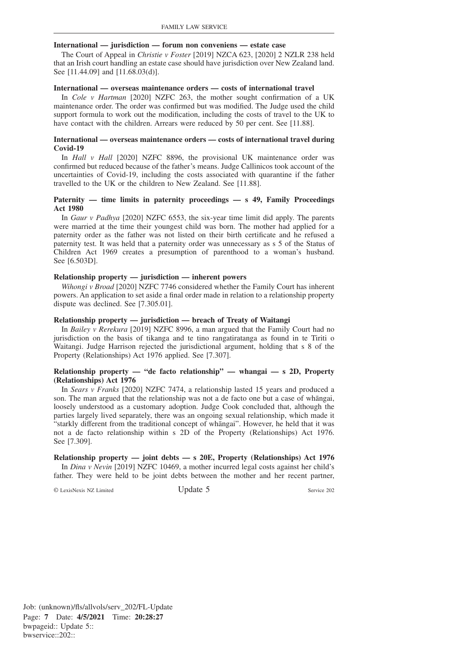#### **International — jurisdiction — forum non conveniens — estate case**

The Court of Appeal in *Christie v Foster* [2019] NZCA 623, [2020] 2 NZLR 238 held that an Irish court handling an estate case should have jurisdiction over New Zealand land. See [11.44.09] and [11.68.03(d)].

#### **International — overseas maintenance orders — costs of international travel**

In *Cole v Hartman* [2020] NZFC 263, the mother sought confirmation of a UK maintenance order. The order was confirmed but was modified. The Judge used the child support formula to work out the modification, including the costs of travel to the UK to have contact with the children. Arrears were reduced by 50 per cent. See [11.88].

#### **International — overseas maintenance orders — costs of international travel during Covid-19**

In *Hall v Hall* [2020] NZFC 8896, the provisional UK maintenance order was confirmed but reduced because of the father's means. Judge Callinicos took account of the uncertainties of Covid-19, including the costs associated with quarantine if the father travelled to the UK or the children to New Zealand. See [11.88].

# **Paternity — time limits in paternity proceedings — s 49, Family Proceedings Act 1980**

In *Gaur v Padhya* [2020] NZFC 6553, the six-year time limit did apply. The parents were married at the time their youngest child was born. The mother had applied for a paternity order as the father was not listed on their birth certificate and he refused a paternity test. It was held that a paternity order was unnecessary as s 5 of the Status of Children Act 1969 creates a presumption of parenthood to a woman's husband. See [6.503D].

# **Relationship property — jurisdiction — inherent powers**

*Wihongi v Broad* [2020] NZFC 7746 considered whether the Family Court has inherent powers. An application to set aside a final order made in relation to a relationship property dispute was declined. See [7.305.01].

#### **Relationship property — jurisdiction — breach of Treaty of Waitangi**

In *Bailey v Rerekura* [2019] NZFC 8996, a man argued that the Family Court had no jurisdiction on the basis of tikanga and te tino rangatiratanga as found in te Tiriti o Waitangi. Judge Harrison rejected the jurisdictional argument, holding that s 8 of the Property (Relationships) Act 1976 applied. See [7.307].

#### **Relationship property — "de facto relationship" — whangai — s 2D, Property (Relationships) Act 1976**

In *Sears v Franks* [2020] NZFC 7474, a relationship lasted 15 years and produced a son. The man argued that the relationship was not a de facto one but a case of whangai, loosely understood as a customary adoption. Judge Cook concluded that, although the parties largely lived separately, there was an ongoing sexual relationship, which made it "starkly different from the traditional concept of whangai". However, he held that it was not a de facto relationship within s 2D of the Property (Relationships) Act 1976. See [7.309].

# **Relationship property — joint debts — s 20E, Property (Relationships) Act 1976**

In *Dina v Nevin* [2019] NZFC 10469, a mother incurred legal costs against her child's father. They were held to be joint debts between the mother and her recent partner,

© LexisNexis NZ Limited Update 5 Service 202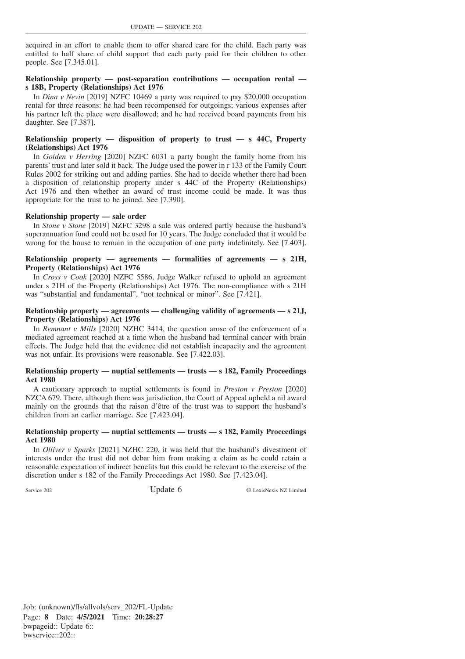acquired in an effort to enable them to offer shared care for the child. Each party was entitled to half share of child support that each party paid for their children to other people. See [7.345.01].

# **Relationship property — post-separation contributions — occupation rental s 18B, Property (Relationships) Act 1976**

In *Dina v Nevin* [2019] NZFC 10469 a party was required to pay \$20,000 occupation rental for three reasons: he had been recompensed for outgoings; various expenses after his partner left the place were disallowed; and he had received board payments from his daughter. See [7.387].

# **Relationship property — disposition of property to trust — s 44C, Property (Relationships) Act 1976**

In *Golden v Herring* [2020] NZFC 6031 a party bought the family home from his parents' trust and later sold it back. The Judge used the power in r 133 of the Family Court Rules 2002 for striking out and adding parties. She had to decide whether there had been a disposition of relationship property under s 44C of the Property (Relationships) Act 1976 and then whether an award of trust income could be made. It was thus appropriate for the trust to be joined. See [7.390].

# **Relationship property — sale order**

In *Stone v Stone* [2019] NZFC 3298 a sale was ordered partly because the husband's superannuation fund could not be used for 10 years. The Judge concluded that it would be wrong for the house to remain in the occupation of one party indefinitely. See [7.403].

# **Relationship property — agreements — formalities of agreements — s 21H, Property (Relationships) Act 1976**

In *Cross v Cook* [2020] NZFC 5586, Judge Walker refused to uphold an agreement under s 21H of the Property (Relationships) Act 1976. The non-compliance with s 21H was "substantial and fundamental", "not technical or minor". See [7.421].

# **Relationship property — agreements — challenging validity of agreements — s 21J, Property (Relationships) Act 1976**

In *Remnant v Mills* [2020] NZHC 3414, the question arose of the enforcement of a mediated agreement reached at a time when the husband had terminal cancer with brain effects. The Judge held that the evidence did not establish incapacity and the agreement was not unfair. Its provisions were reasonable. See [7.422.03].

#### **Relationship property — nuptial settlements — trusts — s 182, Family Proceedings Act 1980**

A cautionary approach to nuptial settlements is found in *Preston v Preston* [2020] NZCA 679. There, although there was jurisdiction, the Court of Appeal upheld a nil award mainly on the grounds that the raison d'être of the trust was to support the husband's children from an earlier marriage. See [7.423.04].

# **Relationship property — nuptial settlements — trusts — s 182, Family Proceedings Act 1980**

In *Olliver v Sparks* [2021] NZHC 220, it was held that the husband's divestment of interests under the trust did not debar him from making a claim as he could retain a reasonable expectation of indirect benefits but this could be relevant to the exercise of the discretion under s 182 of the Family Proceedings Act 1980. See [7.423.04].